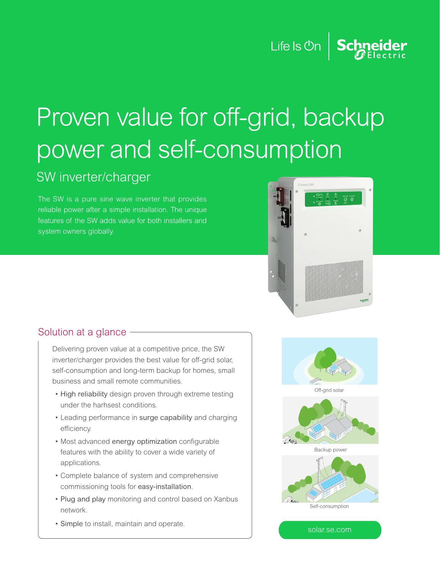# Proven value for off-grid, backup power and self-consumption

## SW inverter/charger

The SW is a pure sine wave inverter that provides reliable power after a simple installation. The unique features of the SW adds value for both installers and system owners globally.



Life Is  $On \mid$  Schneider

#### Solution at a glance

Delivering proven value at a competitive price, the SW inverter/charger provides the best value for off-grid solar, self-consumption and long-term backup for homes, small business and small remote communities.

- High reliability design proven through extreme testing under the harhsest conditions.
- Leading performance in surge capability and charging efficiency.
- Most advanced energy optimization configurable features with the ability to cover a wide variety of applications.
- Complete balance of system and comprehensive commissioning tools for easy-installation.
- Plug and play monitoring and control based on Xanbus network.
- Simple to install, maintain and operate.